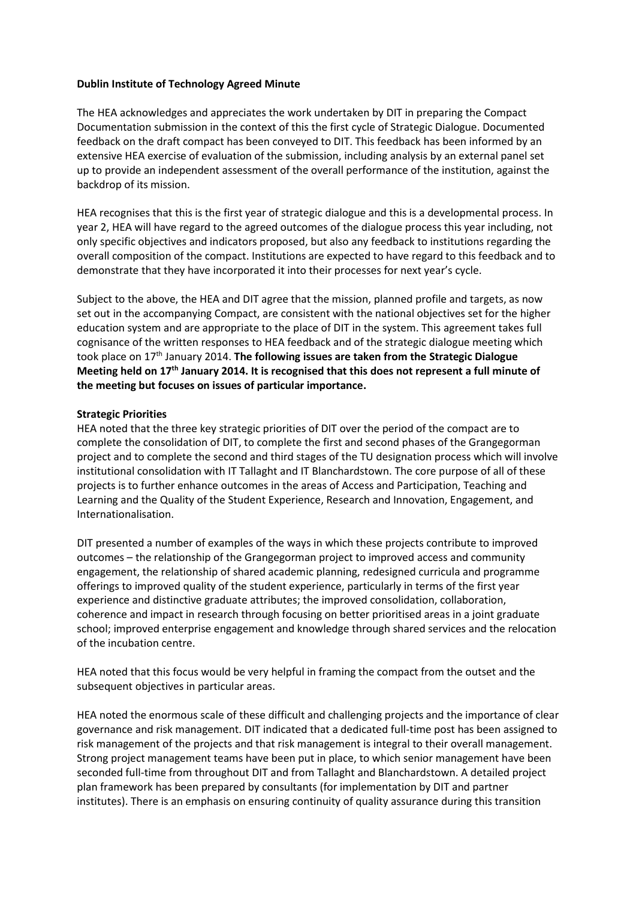# **Dublin Institute of Technology Agreed Minute**

The HEA acknowledges and appreciates the work undertaken by DIT in preparing the Compact Documentation submission in the context of this the first cycle of Strategic Dialogue. Documented feedback on the draft compact has been conveyed to DIT. This feedback has been informed by an extensive HEA exercise of evaluation of the submission, including analysis by an external panel set up to provide an independent assessment of the overall performance of the institution, against the backdrop of its mission.

HEA recognises that this is the first year of strategic dialogue and this is a developmental process. In year 2, HEA will have regard to the agreed outcomes of the dialogue process this year including, not only specific objectives and indicators proposed, but also any feedback to institutions regarding the overall composition of the compact. Institutions are expected to have regard to this feedback and to demonstrate that they have incorporated it into their processes for next year's cycle.

Subject to the above, the HEA and DIT agree that the mission, planned profile and targets, as now set out in the accompanying Compact, are consistent with the national objectives set for the higher education system and are appropriate to the place of DIT in the system. This agreement takes full cognisance of the written responses to HEA feedback and of the strategic dialogue meeting which took place on 17th January 2014. **The following issues are taken from the Strategic Dialogue Meeting held on 17th January 2014. It is recognised that this does not represent a full minute of the meeting but focuses on issues of particular importance.** 

# **Strategic Priorities**

HEA noted that the three key strategic priorities of DIT over the period of the compact are to complete the consolidation of DIT, to complete the first and second phases of the Grangegorman project and to complete the second and third stages of the TU designation process which will involve institutional consolidation with IT Tallaght and IT Blanchardstown. The core purpose of all of these projects is to further enhance outcomes in the areas of Access and Participation, Teaching and Learning and the Quality of the Student Experience, Research and Innovation, Engagement, and Internationalisation.

DIT presented a number of examples of the ways in which these projects contribute to improved outcomes – the relationship of the Grangegorman project to improved access and community engagement, the relationship of shared academic planning, redesigned curricula and programme offerings to improved quality of the student experience, particularly in terms of the first year experience and distinctive graduate attributes; the improved consolidation, collaboration, coherence and impact in research through focusing on better prioritised areas in a joint graduate school; improved enterprise engagement and knowledge through shared services and the relocation of the incubation centre.

HEA noted that this focus would be very helpful in framing the compact from the outset and the subsequent objectives in particular areas.

HEA noted the enormous scale of these difficult and challenging projects and the importance of clear governance and risk management. DIT indicated that a dedicated full-time post has been assigned to risk management of the projects and that risk management is integral to their overall management. Strong project management teams have been put in place, to which senior management have been seconded full-time from throughout DIT and from Tallaght and Blanchardstown. A detailed project plan framework has been prepared by consultants (for implementation by DIT and partner institutes). There is an emphasis on ensuring continuity of quality assurance during this transition